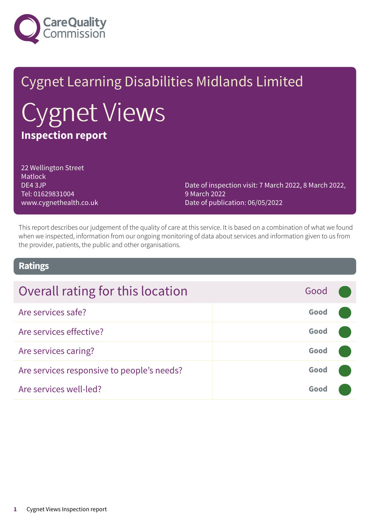

# Cygnet Learning Disabilities Midlands Limited Cygnet Views **Inspection report**

22 Wellington Street Matlock DE4 3JP Tel: 01629831004 www.cygnethealth.co.uk

Date of inspection visit: 7 March 2022, 8 March 2022, 9 March 2022 Date of publication: 06/05/2022

This report describes our judgement of the quality of care at this service. It is based on a combination of what we found when we inspected, information from our ongoing monitoring of data about services and information given to us from the provider, patients, the public and other organisations.

### **Ratings**

| Overall rating for this location           | Good |  |
|--------------------------------------------|------|--|
| Are services safe?                         | Good |  |
| Are services effective?                    | Good |  |
| Are services caring?                       | Good |  |
| Are services responsive to people's needs? | Good |  |
| Are services well-led?                     | Good |  |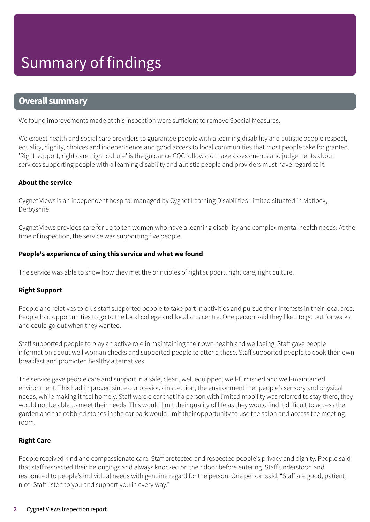### **Overall summary**

We found improvements made at this inspection were sufficient to remove Special Measures.

We expect health and social care providers to guarantee people with a learning disability and autistic people respect, equality, dignity, choices and independence and good access to local communities that most people take for granted. 'Right support, right care, right culture' is the guidance CQC follows to make assessments and judgements about services supporting people with a learning disability and autistic people and providers must have regard to it.

#### **About the service**

Cygnet Views is an independent hospital managed by Cygnet Learning Disabilities Limited situated in Matlock, Derbyshire.

Cygnet Views provides care for up to ten women who have a learning disability and complex mental health needs. At the time of inspection, the service was supporting five people.

#### **People's experience of using this service and what we found**

The service was able to show how they met the principles of right support, right care, right culture.

#### **Right Support**

People and relatives told us staff supported people to take part in activities and pursue their interests in their local area. People had opportunities to go to the local college and local arts centre. One person said they liked to go out for walks and could go out when they wanted.

Staff supported people to play an active role in maintaining their own health and wellbeing. Staff gave people information about well woman checks and supported people to attend these. Staff supported people to cook their own breakfast and promoted healthy alternatives.

The service gave people care and support in a safe, clean, well equipped, well-furnished and well-maintained environment. This had improved since our previous inspection, the environment met people's sensory and physical needs, while making it feel homely. Staff were clear that if a person with limited mobility was referred to stay there, they would not be able to meet their needs. This would limit their quality of life as they would find it difficult to access the garden and the cobbled stones in the car park would limit their opportunity to use the salon and access the meeting room.

#### **Right Care**

People received kind and compassionate care. Staff protected and respected people's privacy and dignity. People said that staff respected their belongings and always knocked on their door before entering. Staff understood and responded to people's individual needs with genuine regard for the person. One person said, "Staff are good, patient, nice. Staff listen to you and support you in every way."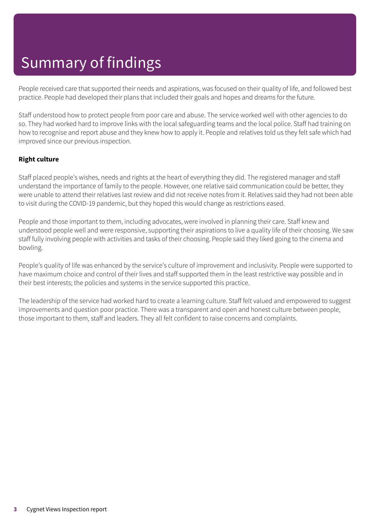# Summary of findings

People received care that supported their needs and aspirations, was focused on their quality of life, and followed best practice. People had developed their plans that included their goals and hopes and dreams for the future.

Staff understood how to protect people from poor care and abuse. The service worked well with other agencies to do so. They had worked hard to improve links with the local safeguarding teams and the local police. Staff had training on how to recognise and report abuse and they knew how to apply it. People and relatives told us they felt safe which had improved since our previous inspection.

#### **Right culture**

Staff placed people's wishes, needs and rights at the heart of everything they did. The registered manager and staff understand the importance of family to the people. However, one relative said communication could be better, they were unable to attend their relatives last review and did not receive notes from it. Relatives said they had not been able to visit during the COVID-19 pandemic, but they hoped this would change as restrictions eased.

People and those important to them, including advocates, were involved in planning their care. Staff knew and understood people well and were responsive, supporting their aspirations to live a quality life of their choosing. We saw staff fully involving people with activities and tasks of their choosing. People said they liked going to the cinema and bowling.

People's quality of life was enhanced by the service's culture of improvement and inclusivity. People were supported to have maximum choice and control of their lives and staff supported them in the least restrictive way possible and in their best interests; the policies and systems in the service supported this practice.

The leadership of the service had worked hard to create a learning culture. Staff felt valued and empowered to suggest improvements and question poor practice. There was a transparent and open and honest culture between people, those important to them, staff and leaders. They all felt confident to raise concerns and complaints.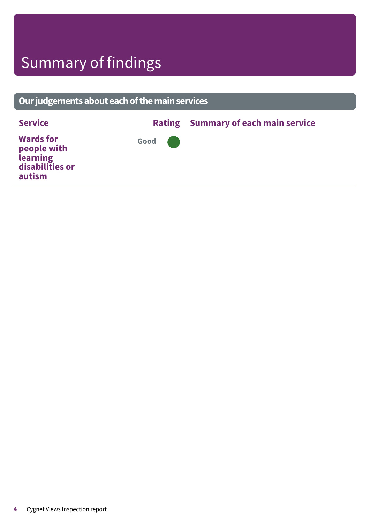# Summary of findings

**autism**

### **Ourjudgementsabouteachofthemainservices Service Rating Summary of each main service Wards for people with learning disabilities or Good –––**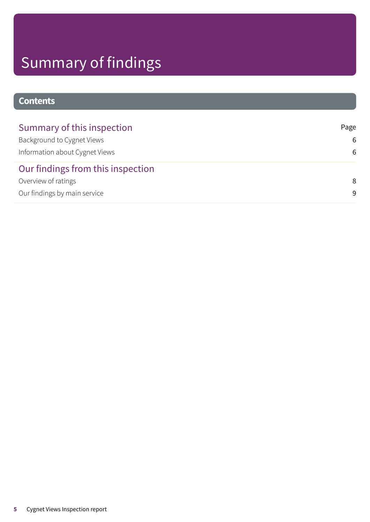# Summary of findings

### **Contents**

| Summary of this inspection        | Page |
|-----------------------------------|------|
| Background to Cygnet Views        | 6    |
| Information about Cygnet Views    | 6    |
| Our findings from this inspection |      |
| Overview of ratings               | 8    |
| Our findings by main service      | 9    |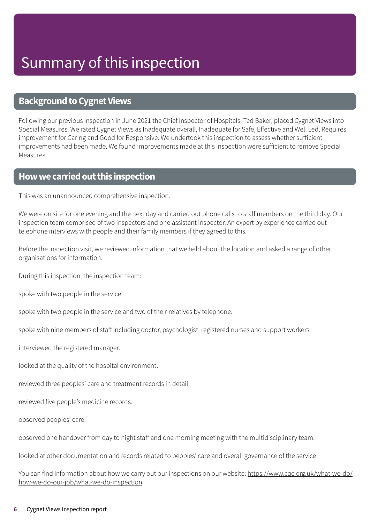### <span id="page-5-0"></span>**Background to Cygnet Views**

Following our previous inspection in June 2021 the Chief Inspector of Hospitals, Ted Baker, placed Cygnet Views into Special Measures. We rated Cygnet Views as Inadequate overall, Inadequate for Safe, Effective and Well Led, Requires improvement for Caring and Good for Responsive. We undertook this inspection to assess whether sufficient improvements had been made. We found improvements made at this inspection were sufficient to remove Special Measures.

### <span id="page-5-1"></span>**Howwecarriedoutthis inspection**

This was an unannounced comprehensive inspection.

We were on site for one evening and the next day and carried out phone calls to staff members on the third day. Our inspection team comprised of two inspectors and one assistant inspector. An expert by experience carried out telephone interviews with people and their family members if they agreed to this.

Before the inspection visit, we reviewed information that we held about the location and asked a range of other organisations for information.

During this inspection, the inspection team:

spoke with two people in the service.

spoke with two people in the service and two of their relatives by telephone.

spoke with nine members of staff including doctor, psychologist, registered nurses and support workers.

interviewed the registered manager.

looked at the quality of the hospital environment.

reviewed three peoples' care and treatment records in detail.

reviewed five people's medicine records.

observed peoples' care.

observed one handover from day to night staff and one morning meeting with the multidisciplinary team.

looked at other documentation and records related to peoples' care and overall governance of the service.

You can find information about how we carry out our inspections on our website: https://www.cqc.org.uk/what-we-do/ how-we-do-our-job/what-we-do-inspection.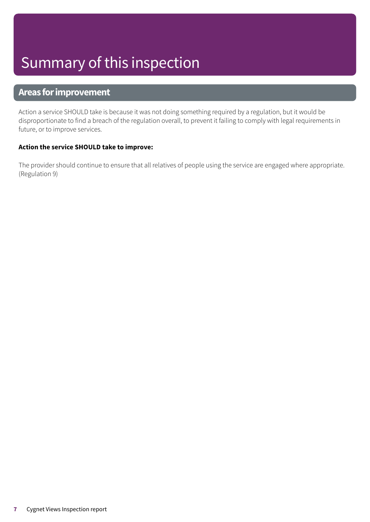# Summary of this inspection

### **Areas forimprovement**

Action a service SHOULD take is because it was not doing something required by a regulation, but it would be disproportionate to find a breach of the regulation overall, to prevent it failing to comply with legal requirements in future, or to improve services.

#### **Action the service SHOULD take to improve:**

The provider should continue to ensure that all relatives of people using the service are engaged where appropriate. (Regulation 9)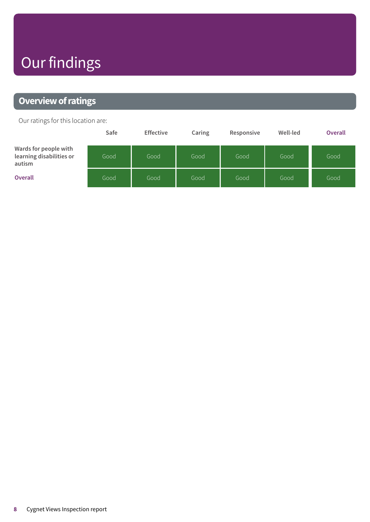# Our findings

### <span id="page-7-0"></span>**Overview of ratings**

Our ratings for this location are:

|                                                             | Safe | <b>Effective</b> | Caring | Responsive | Well-led | <b>Overall</b> |
|-------------------------------------------------------------|------|------------------|--------|------------|----------|----------------|
| Wards for people with<br>learning disabilities or<br>autism | Good | Good             | Good   | Good       | Good     | Good           |
| <b>Overall</b>                                              | Good | Good             | Good   | Good       | Good     | Good           |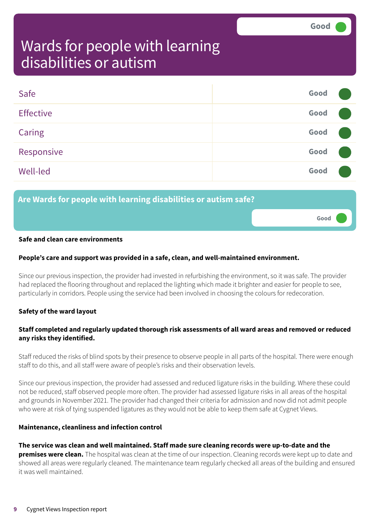**Good –––**

### <span id="page-8-0"></span>Wards for people with learning disabilities or autism

| Safe             | Good |  |
|------------------|------|--|
| <b>Effective</b> | Good |  |
| Caring           | Good |  |
| Responsive       | Good |  |
| Well-led         | Good |  |

### **Are Wards for people with learning disabilities or autism safe?**

#### **Safe and clean care environments**

#### **People's care and support was provided in a safe, clean, and well-maintained environment.**

Since our previous inspection, the provider had invested in refurbishing the environment, so it was safe. The provider had replaced the flooring throughout and replaced the lighting which made it brighter and easier for people to see, particularly in corridors. People using the service had been involved in choosing the colours for redecoration.

#### **Safety of the ward layout**

#### **Staff completed and regularly updated thorough risk assessments of all ward areas and removed or reduced any risks they identified.**

Staff reduced the risks of blind spots by their presence to observe people in all parts of the hospital. There were enough staff to do this, and all staff were aware of people's risks and their observation levels.

Since our previous inspection, the provider had assessed and reduced ligature risks in the building. Where these could not be reduced, staff observed people more often. The provider had assessed ligature risks in all areas of the hospital and grounds in November 2021. The provider had changed their criteria for admission and now did not admit people who were at risk of tying suspended ligatures as they would not be able to keep them safe at Cygnet Views.

#### **Maintenance, cleanliness and infection control**

#### **The service was clean and well maintained. Staff made sure cleaning records were up-to-date and the**

**premises were clean.** The hospital was clean at the time of our inspection. Cleaning records were kept up to date and showed all areas were regularly cleaned. The maintenance team regularly checked all areas of the building and ensured it was well maintained.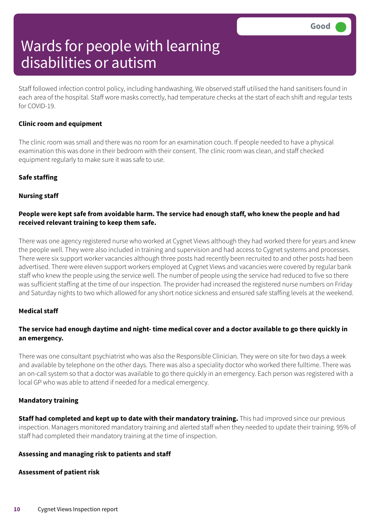Staff followed infection control policy, including handwashing. We observed staff utilised the hand sanitisers found in each area of the hospital. Staff wore masks correctly, had temperature checks at the start of each shift and regular tests for COVID-19.

#### **Clinic room and equipment**

The clinic room was small and there was no room for an examination couch. If people needed to have a physical examination this was done in their bedroom with their consent. The clinic room was clean, and staff checked equipment regularly to make sure it was safe to use.

#### **Safe staffing**

#### **Nursing staff**

#### People were kept safe from avoidable harm. The service had enough staff, who knew the people and had **received relevant training to keep them safe.**

There was one agency registered nurse who worked at Cygnet Views although they had worked there for years and knew the people well. They were also included in training and supervision and had access to Cygnet systems and processes. There were six support worker vacancies although three posts had recently been recruited to and other posts had been advertised. There were eleven support workers employed at Cygnet Views and vacancies were covered by regular bank staff who knew the people using the service well. The number of people using the service had reduced to five so there was sufficient staffing at the time of our inspection. The provider had increased the registered nurse numbers on Friday and Saturday nights to two which allowed for any short notice sickness and ensured safe staffing levels at the weekend.

#### **Medical staff**

#### The service had enough daytime and night-time medical cover and a doctor available to go there quickly in **an emergency.**

There was one consultant psychiatrist who was also the Responsible Clinician. They were on site for two days a week and available by telephone on the other days. There was also a speciality doctor who worked there fulltime. There was an on-call system so that a doctor was available to go there quickly in an emergency. Each person was registered with a local GP who was able to attend if needed for a medical emergency.

#### **Mandatory training**

**Staff had completed and kept up to date with their mandatory training.** This had improved since our previous inspection. Managers monitored mandatory training and alerted staff when they needed to update their training. 95% of staff had completed their mandatory training at the time of inspection.

#### **Assessing and managing risk to patients and staff**

#### **Assessment of patient risk**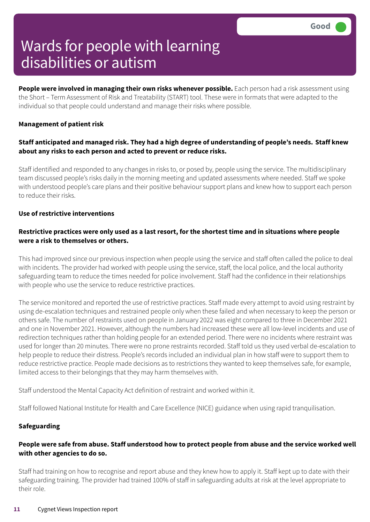**People were involved in managing their own risks whenever possible.** Each person had a risk assessment using the Short – Term Assessment of Risk and Treatability (START) tool. These were in formats that were adapted to the individual so that people could understand and manage their risks where possible.

#### **Management of patient risk**

#### **Staff anticipated and managed risk. They had a high degree of understanding of people's needs. Staff knew about any risks to each person and acted to prevent or reduce risks.**

Staff identified and responded to any changes in risks to, or posed by, people using the service. The multidisciplinary team discussed people's risks daily in the morning meeting and updated assessments where needed. Staff we spoke with understood people's care plans and their positive behaviour support plans and knew how to support each person to reduce their risks.

#### **Use of restrictive interventions**

#### Restrictive practices were only used as a last resort, for the shortest time and in situations where people **were a risk to themselves or others.**

This had improved since our previous inspection when people using the service and staff often called the police to deal with incidents. The provider had worked with people using the service, staff, the local police, and the local authority safeguarding team to reduce the times needed for police involvement. Staff had the confidence in their relationships with people who use the service to reduce restrictive practices.

The service monitored and reported the use of restrictive practices. Staff made every attempt to avoid using restraint by using de-escalation techniques and restrained people only when these failed and when necessary to keep the person or others safe. The number of restraints used on people in January 2022 was eight compared to three in December 2021 and one in November 2021. However, although the numbers had increased these were all low-level incidents and use of redirection techniques rather than holding people for an extended period. There were no incidents where restraint was used for longer than 20 minutes. There were no prone restraints recorded. Staff told us they used verbal de-escalation to help people to reduce their distress. People's records included an individual plan in how staff were to support them to reduce restrictive practice. People made decisions as to restrictions they wanted to keep themselves safe, for example, limited access to their belongings that they may harm themselves with.

Staff understood the Mental Capacity Act definition of restraint and worked within it.

Staff followed National Institute for Health and Care Excellence (NICE) guidance when using rapid tranquilisation.

#### **Safeguarding**

#### People were safe from abuse. Staff understood how to protect people from abuse and the service worked well **with other agencies to do so.**

Staff had training on how to recognise and report abuse and they knew how to apply it. Staff kept up to date with their safeguarding training. The provider had trained 100% of staff in safeguarding adults at risk at the level appropriate to their role.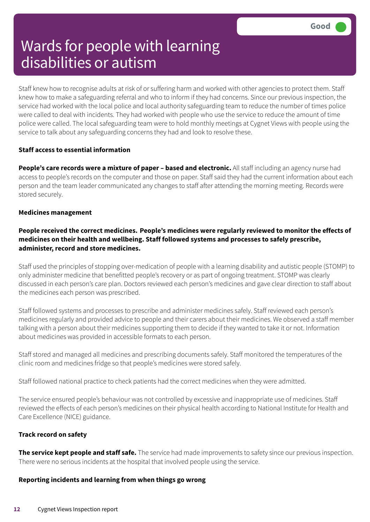Staff knew how to recognise adults at risk of or suffering harm and worked with other agencies to protect them. Staff knew how to make a safeguarding referral and who to inform if they had concerns. Since our previous inspection, the service had worked with the local police and local authority safeguarding team to reduce the number of times police were called to deal with incidents. They had worked with people who use the service to reduce the amount of time police were called. The local safeguarding team were to hold monthly meetings at Cygnet Views with people using the service to talk about any safeguarding concerns they had and look to resolve these.

#### **Staff access to essential information**

**People's care records were a mixture of paper – based and electronic.** All staff including an agency nurse had access to people's records on the computer and those on paper. Staff said they had the current information about each person and the team leader communicated any changes to staff after attending the morning meeting. Records were stored securely.

#### **Medicines management**

#### **People received the correct medicines. People's medicines were regularly reviewed to monitor the effects of medicines on their health and wellbeing. Staff followed systems and processes to safely prescribe, administer, record and store medicines.**

Staff used the principles of stopping over-medication of people with a learning disability and autistic people (STOMP) to only administer medicine that benefitted people's recovery or as part of ongoing treatment. STOMP was clearly discussed in each person's care plan. Doctors reviewed each person's medicines and gave clear direction to staff about the medicines each person was prescribed.

Staff followed systems and processes to prescribe and administer medicines safely. Staff reviewed each person's medicines regularly and provided advice to people and their carers about their medicines. We observed a staff member talking with a person about their medicines supporting them to decide if they wanted to take it or not. Information about medicines was provided in accessible formats to each person.

Staff stored and managed all medicines and prescribing documents safely. Staff monitored the temperatures of the clinic room and medicines fridge so that people's medicines were stored safely.

Staff followed national practice to check patients had the correct medicines when they were admitted.

The service ensured people's behaviour was not controlled by excessive and inappropriate use of medicines. Staff reviewed the effects of each person's medicines on their physical health according to National Institute for Health and Care Excellence (NICE) guidance.

#### **Track record on safety**

**The service kept people and staff safe.** The service had made improvements to safety since our previous inspection. There were no serious incidents at the hospital that involved people using the service.

#### **Reporting incidents and learning from when things go wrong**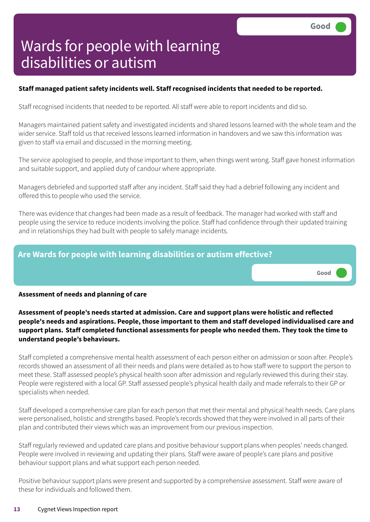**Good –––**

# Wards for people with learning disabilities or autism

#### **Staff managed patient safety incidents well. Staff recognised incidents that needed to be reported.**

Staff recognised incidents that needed to be reported. All staff were able to report incidents and did so.

Managers maintained patient safety and investigated incidents and shared lessons learned with the whole team and the wider service. Staff told us that received lessons learned information in handovers and we saw this information was given to staff via email and discussed in the morning meeting.

The service apologised to people, and those important to them, when things went wrong. Staff gave honest information and suitable support, and applied duty of candour where appropriate.

Managers debriefed and supported staff after any incident. Staff said they had a debrief following any incident and offered this to people who used the service.

There was evidence that changes had been made as a result of feedback. The manager had worked with staff and people using the service to reduce incidents involving the police. Staff had confidence through their updated training and in relationships they had built with people to safely manage incidents.

# **Are Wards for people with learning disabilities or autism effective?**

#### **Assessment of needs and planning of care**

**Assessment of people's needs started at admission. Care and support plans were holistic and reflected people's needs and aspirations. People, those important to them and staff developed individualised care and support plans. Staff completed functional assessments for people who needed them. They took the time to understand people's behaviours.**

Staff completed a comprehensive mental health assessment of each person either on admission or soon after. People's records showed an assessment of all their needs and plans were detailed as to how staff were to support the person to meet these. Staff assessed people's physical health soon after admission and regularly reviewed this during their stay. People were registered with a local GP. Staff assessed people's physical health daily and made referrals to their GP or specialists when needed.

Staff developed a comprehensive care plan for each person that met their mental and physical health needs. Care plans were personalised, holistic and strengths based. People's records showed that they were involved in all parts of their plan and contributed their views which was an improvement from our previous inspection.

Staff regularly reviewed and updated care plans and positive behaviour support plans when peoples' needs changed. People were involved in reviewing and updating their plans. Staff were aware of people's care plans and positive behaviour support plans and what support each person needed.

Positive behaviour support plans were present and supported by a comprehensive assessment. Staff were aware of these for individuals and followed them.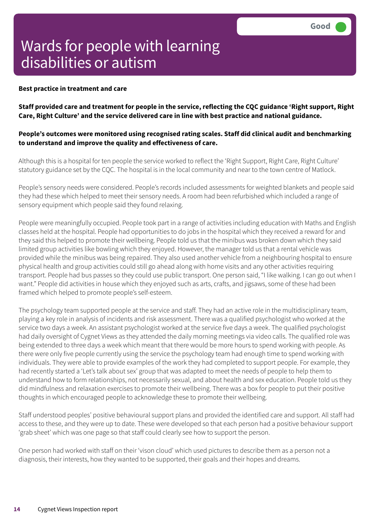#### **Best practice in treatment and care**

Staff provided care and treatment for people in the service, reflecting the CQC guidance 'Right support, Right **Care, Right Culture' and the service delivered care in line with best practice and national guidance.**

#### **People's outcomes were monitored using recognised rating scales. Staff did clinical audit and benchmarking to understand and improve the quality and effectiveness of care.**

Although this is a hospital for ten people the service worked to reflect the 'Right Support, Right Care, Right Culture' statutory guidance set by the CQC. The hospital is in the local community and near to the town centre of Matlock.

People's sensory needs were considered. People's records included assessments for weighted blankets and people said they had these which helped to meet their sensory needs. A room had been refurbished which included a range of sensory equipment which people said they found relaxing.

People were meaningfully occupied. People took part in a range of activities including education with Maths and English classes held at the hospital. People had opportunities to do jobs in the hospital which they received a reward for and they said this helped to promote their wellbeing. People told us that the minibus was broken down which they said limited group activities like bowling which they enjoyed. However, the manager told us that a rental vehicle was provided while the minibus was being repaired. They also used another vehicle from a neighbouring hospital to ensure physical health and group activities could still go ahead along with home visits and any other activities requiring transport. People had bus passes so they could use public transport. One person said, "I like walking. I can go out when I want." People did activities in house which they enjoyed such as arts, crafts, and jigsaws, some of these had been framed which helped to promote people's self-esteem.

The psychology team supported people at the service and staff. They had an active role in the multidisciplinary team, playing a key role in analysis of incidents and risk assessment. There was a qualified psychologist who worked at the service two days a week. An assistant psychologist worked at the service five days a week. The qualified psychologist had daily oversight of Cygnet Views as they attended the daily morning meetings via video calls. The qualified role was being extended to three days a week which meant that there would be more hours to spend working with people. As there were only five people currently using the service the psychology team had enough time to spend working with individuals. They were able to provide examples of the work they had completed to support people. For example, they had recently started a 'Let's talk about sex' group that was adapted to meet the needs of people to help them to understand how to form relationships, not necessarily sexual, and about health and sex education. People told us they did mindfulness and relaxation exercises to promote their wellbeing. There was a box for people to put their positive thoughts in which encouraged people to acknowledge these to promote their wellbeing.

Staff understood peoples' positive behavioural support plans and provided the identified care and support. All staff had access to these, and they were up to date. These were developed so that each person had a positive behaviour support 'grab sheet' which was one page so that staff could clearly see how to support the person.

One person had worked with staff on their 'vison cloud' which used pictures to describe them as a person not a diagnosis, their interests, how they wanted to be supported, their goals and their hopes and dreams.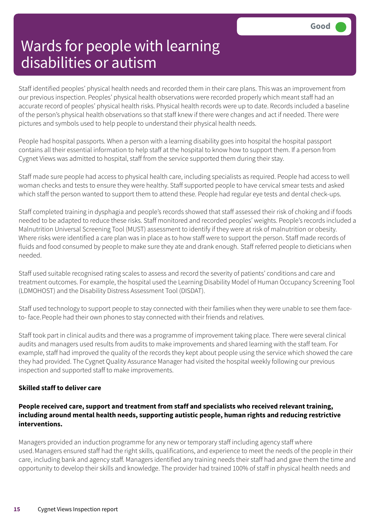Staff identified peoples' physical health needs and recorded them in their care plans. This was an improvement from our previous inspection. Peoples' physical health observations were recorded properly which meant staff had an accurate record of peoples' physical health risks. Physical health records were up to date. Records included a baseline of the person's physical health observations so that staff knew if there were changes and act if needed. There were pictures and symbols used to help people to understand their physical health needs.

People had hospital passports. When a person with a learning disability goes into hospital the hospital passport contains all their essential information to help staff at the hospital to know how to support them. If a person from Cygnet Views was admitted to hospital, staff from the service supported them during their stay.

Staff made sure people had access to physical health care, including specialists as required. People had access to well woman checks and tests to ensure they were healthy. Staff supported people to have cervical smear tests and asked which staff the person wanted to support them to attend these. People had regular eye tests and dental check-ups.

Staff completed training in dysphagia and people's records showed that staff assessed their risk of choking and if foods needed to be adapted to reduce these risks. Staff monitored and recorded peoples' weights. People's records included a Malnutrition Universal Screening Tool (MUST) assessment to identify if they were at risk of malnutrition or obesity. Where risks were identified a care plan was in place as to how staff were to support the person. Staff made records of fluids and food consumed by people to make sure they ate and drank enough. Staff referred people to dieticians when needed.

Staff used suitable recognised rating scales to assess and record the severity of patients' conditions and care and treatment outcomes. For example, the hospital used the Learning Disability Model of Human Occupancy Screening Tool (LDMOHOST) and the Disability Distress Assessment Tool (DISDAT).

Staff used technology to support people to stay connected with their families when they were unable to see them faceto- face.People had their own phones to stay connected with their friends and relatives.

Staff took part in clinical audits and there was a programme of improvement taking place. There were several clinical audits and managers used results from audits to make improvements and shared learning with the staff team. For example, staff had improved the quality of the records they kept about people using the service which showed the care they had provided. The Cygnet Quality Assurance Manager had visited the hospital weekly following our previous inspection and supported staff to make improvements.

#### **Skilled staff to deliver care**

#### **People received care, support and treatment from staff and specialists who received relevant training, including around mental health needs, supporting autistic people, human rights and reducing restrictive interventions.**

Managers provided an induction programme for any new or temporary staff including agency staff where used.Managers ensured staff had the right skills, qualifications, and experience to meet the needs of the people in their care, including bank and agency staff. Managers identified any training needs their staff had and gave them the time and opportunity to develop their skills and knowledge. The provider had trained 100% of staff in physical health needs and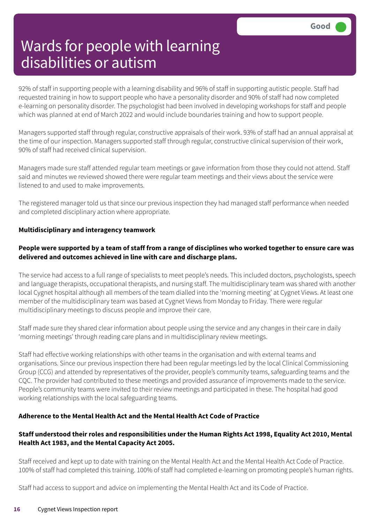92% of staff in supporting people with a learning disability and 96% of staff in supporting autistic people. Staff had requested training in how to support people who have a personality disorder and 90% of staff had now completed e-learning on personality disorder. The psychologist had been involved in developing workshops for staff and people which was planned at end of March 2022 and would include boundaries training and how to support people.

Managers supported staff through regular, constructive appraisals of their work. 93% of staff had an annual appraisal at the time of our inspection. Managers supported staff through regular, constructive clinical supervision of their work, 90% of staff had received clinical supervision.

Managers made sure staff attended regular team meetings or gave information from those they could not attend. Staff said and minutes we reviewed showed there were regular team meetings and their views about the service were listened to and used to make improvements.

The registered manager told us that since our previous inspection they had managed staff performance when needed and completed disciplinary action where appropriate.

#### **Multidisciplinary and interagency teamwork**

#### People were supported by a team of staff from a range of disciplines who worked together to ensure care was **delivered and outcomes achieved in line with care and discharge plans.**

The service had access to a full range of specialists to meet people's needs. This included doctors, psychologists, speech and language therapists, occupational therapists, and nursing staff. The multidisciplinary team was shared with another local Cygnet hospital although all members of the team dialled into the 'morning meeting' at Cygnet Views. At least one member of the multidisciplinary team was based at Cygnet Views from Monday to Friday. There were regular multidisciplinary meetings to discuss people and improve their care.

Staff made sure they shared clear information about people using the service and any changes in their care in daily 'morning meetings' through reading care plans and in multidisciplinary review meetings.

Staff had effective working relationships with other teams in the organisation and with external teams and organisations. Since our previous inspection there had been regular meetings led by the local Clinical Commissioning Group (CCG) and attended by representatives of the provider, people's community teams, safeguarding teams and the CQC. The provider had contributed to these meetings and provided assurance of improvements made to the service. People's community teams were invited to their review meetings and participated in these. The hospital had good working relationships with the local safeguarding teams.

#### **Adherence to the Mental Health Act and the Mental Health Act Code of Practice**

#### **Staff understood their roles and responsibilities under the Human Rights Act 1998, Equality Act 2010, Mental Health Act 1983, and the Mental Capacity Act 2005.**

Staff received and kept up to date with training on the Mental Health Act and the Mental Health Act Code of Practice. 100% of staff had completed this training. 100% of staff had completed e-learning on promoting people's human rights.

Staff had access to support and advice on implementing the Mental Health Act and its Code of Practice.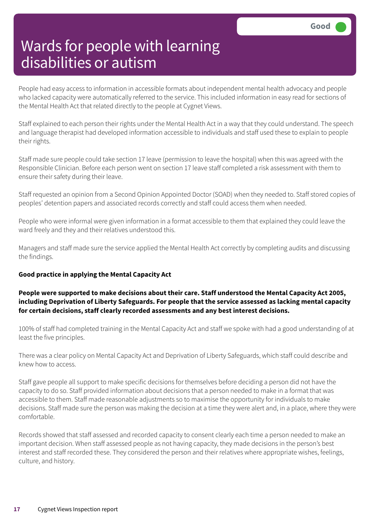People had easy access to information in accessible formats about independent mental health advocacy and people who lacked capacity were automatically referred to the service. This included information in easy read for sections of the Mental Health Act that related directly to the people at Cygnet Views.

Staff explained to each person their rights under the Mental Health Act in a way that they could understand. The speech and language therapist had developed information accessible to individuals and staff used these to explain to people their rights.

Staff made sure people could take section 17 leave (permission to leave the hospital) when this was agreed with the Responsible Clinician. Before each person went on section 17 leave staff completed a risk assessment with them to ensure their safety during their leave.

Staff requested an opinion from a Second Opinion Appointed Doctor (SOAD) when they needed to. Staff stored copies of peoples' detention papers and associated records correctly and staff could access them when needed.

People who were informal were given information in a format accessible to them that explained they could leave the ward freely and they and their relatives understood this.

Managers and staff made sure the service applied the Mental Health Act correctly by completing audits and discussing the findings.

#### **Good practice in applying the Mental Capacity Act**

#### **People were supported to make decisions about their care. Staff understood the Mental Capacity Act 2005, including Deprivation of Liberty Safeguards. For people that the service assessed as lacking mental capacity for certain decisions, staff clearly recorded assessments and any best interest decisions.**

100% of staff had completed training in the Mental Capacity Act and staff we spoke with had a good understanding of at least the five principles.

There was a clear policy on Mental Capacity Act and Deprivation of Liberty Safeguards, which staff could describe and knew how to access.

Staff gave people all support to make specific decisions for themselves before deciding a person did not have the capacity to do so. Staff provided information about decisions that a person needed to make in a format that was accessible to them. Staff made reasonable adjustments so to maximise the opportunity for individuals to make decisions. Staff made sure the person was making the decision at a time they were alert and, in a place, where they were comfortable.

Records showed that staff assessed and recorded capacity to consent clearly each time a person needed to make an important decision. When staff assessed people as not having capacity, they made decisions in the person's best interest and staff recorded these. They considered the person and their relatives where appropriate wishes, feelings, culture, and history.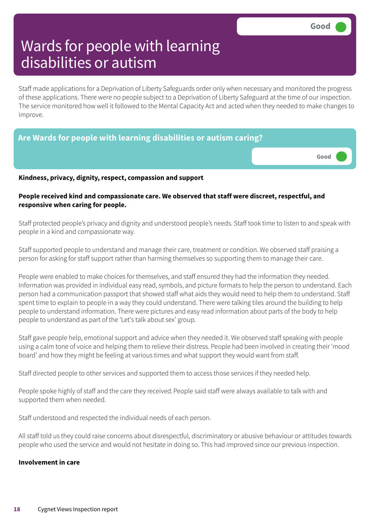Staff made applications for a Deprivation of Liberty Safeguards order only when necessary and monitored the progress of these applications. There were no people subject to a Deprivation of Liberty Safeguard at the time of our inspection. The service monitored how well it followed to the Mental Capacity Act and acted when they needed to make changes to improve.

| Are Wards for people with learning disabilities or autism caring? |                       |  |  |
|-------------------------------------------------------------------|-----------------------|--|--|
|                                                                   | Good <b>Carl Boot</b> |  |  |
| Vindnose nvivasy dignity vocnost somnoscion and cunnovt           |                       |  |  |

**Kindness, privacy, dignity, respect, compassion and support**

#### **People received kind and compassionate care. We observed that staff were discreet, respectful, and responsive when caring for people.**

Staff protected people's privacy and dignity and understood people's needs. Staff took time to listen to and speak with people in a kind and compassionate way.

Staff supported people to understand and manage their care, treatment or condition. We observed staff praising a person for asking for staff support rather than harming themselves so supporting them to manage their care.

People were enabled to make choices for themselves, and staff ensured they had the information they needed. Information was provided in individual easy read, symbols, and picture formats to help the person to understand. Each person had a communication passport that showed staff what aids they would need to help them to understand. Staff spent time to explain to people in a way they could understand. There were talking tiles around the building to help people to understand information. There were pictures and easy read information about parts of the body to help people to understand as part of the 'Let's talk about sex' group.

Staff gave people help, emotional support and advice when they needed it. We observed staff speaking with people using a calm tone of voice and helping them to relieve their distress. People had been involved in creating their 'mood board' and how they might be feeling at various times and what support they would want from staff.

Staff directed people to other services and supported them to access those services if they needed help.

People spoke highly of staff and the care they received. People said staff were always available to talk with and supported them when needed.

Staff understood and respected the individual needs of each person.

All staff told us they could raise concerns about disrespectful, discriminatory or abusive behaviour or attitudes towards people who used the service and would not hesitate in doing so. This had improved since our previous inspection.

#### **Involvement in care**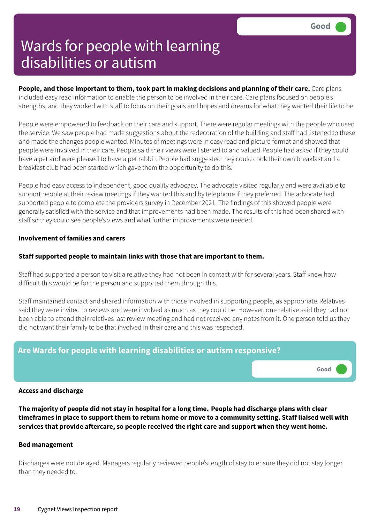**Good –––**

## Wards for people with learning disabilities or autism

**People, and those important to them, took part in making decisions and planning of their care.** Care plans included easy read information to enable the person to be involved in their care. Care plans focused on people's strengths, and they worked with staff to focus on their goals and hopes and dreams for what they wanted their life to be.

People were empowered to feedback on their care and support. There were regular meetings with the people who used the service. We saw people had made suggestions about the redecoration of the building and staff had listened to these and made the changes people wanted. Minutes of meetings were in easy read and picture format and showed that people were involved in their care. People said their views were listened to and valued.People had asked if they could have a pet and were pleased to have a pet rabbit. People had suggested they could cook their own breakfast and a breakfast club had been started which gave them the opportunity to do this.

People had easy access to independent, good quality advocacy. The advocate visited regularly and were available to support people at their review meetings if they wanted this and by telephone if they preferred. The advocate had supported people to complete the providers survey in December 2021. The findings of this showed people were generally satisfied with the service and that improvements had been made. The results of this had been shared with staff so they could see people's views and what further improvements were needed.

#### **Involvement of families and carers**

#### **Staff supported people to maintain links with those that are important to them.**

Staff had supported a person to visit a relative they had not been in contact with for several years. Staff knew how difficult this would be for the person and supported them through this.

Staff maintained contact and shared information with those involved in supporting people, as appropriate.Relatives said they were invited to reviews and were involved as much as they could be. However, one relative said they had not been able to attend their relatives last review meeting and had not received any notes from it. One person told us they did not want their family to be that involved in their care and this was respected.

### **Are Wards for people with learning disabilities or autism responsive?**

**Access and discharge**

The majority of people did not stay in hospital for a long time. People had discharge plans with clear timeframes in place to support them to return home or move to a community setting. Staff liaised well with **services that provide aftercare, so people received the right care and support when they went home.**

#### **Bed management**

Discharges were not delayed. Managers regularly reviewed people's length of stay to ensure they did not stay longer than they needed to.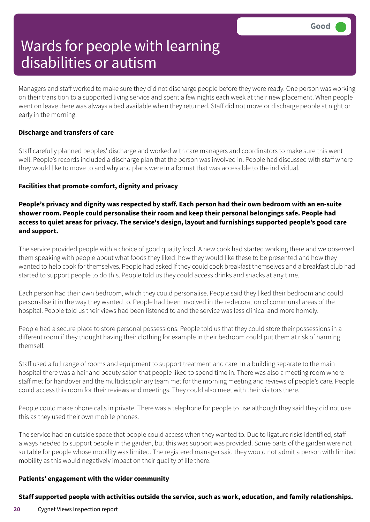Managers and staff worked to make sure they did not discharge people before they were ready. One person was working on their transition to a supported living service and spent a few nights each week at their new placement. When people went on leave there was always a bed available when they returned. Staff did not move or discharge people at night or early in the morning.

#### **Discharge and transfers of care**

Staff carefully planned peoples' discharge and worked with care managers and coordinators to make sure this went well. People's records included a discharge plan that the person was involved in. People had discussed with staff where they would like to move to and why and plans were in a format that was accessible to the individual.

#### **Facilities that promote comfort, dignity and privacy**

**People's privacy and dignity was respected by staff. Each person had their own bedroom with an en-suite shower room. People could personalise their room and keep their personal belongings safe. People had access to quiet areas for privacy. The service's design, layout and furnishings supported people's good care and support.**

The service provided people with a choice of good quality food. A new cook had started working there and we observed them speaking with people about what foods they liked, how they would like these to be presented and how they wanted to help cook for themselves. People had asked if they could cook breakfast themselves and a breakfast club had started to support people to do this. People told us they could access drinks and snacks at any time.

Each person had their own bedroom, which they could personalise. People said they liked their bedroom and could personalise it in the way they wanted to. People had been involved in the redecoration of communal areas of the hospital. People told us their views had been listened to and the service was less clinical and more homely.

People had a secure place to store personal possessions. People told us that they could store their possessions in a different room if they thought having their clothing for example in their bedroom could put them at risk of harming themself.

Staff used a full range of rooms and equipment to support treatment and care. In a building separate to the main hospital there was a hair and beauty salon that people liked to spend time in. There was also a meeting room where staff met for handover and the multidisciplinary team met for the morning meeting and reviews of people's care. People could access this room for their reviews and meetings. They could also meet with their visitors there.

People could make phone calls in private. There was a telephone for people to use although they said they did not use this as they used their own mobile phones.

The service had an outside space that people could access when they wanted to. Due to ligature risks identified, staff always needed to support people in the garden, but this was support was provided. Some parts of the garden were not suitable for people whose mobility was limited. The registered manager said they would not admit a person with limited mobility as this would negatively impact on their quality of life there.

#### **Patients' engagement with the wider community**

#### **Staff supported people with activities outside the service, such as work, education, and family relationships.**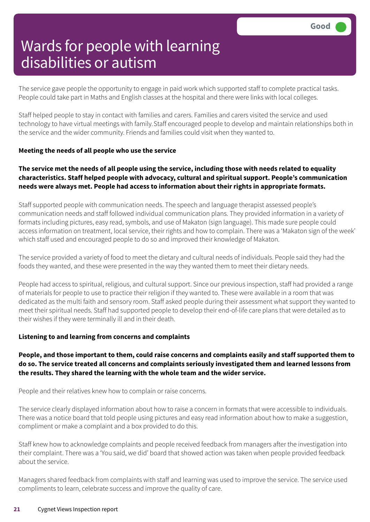The service gave people the opportunity to engage in paid work which supported staff to complete practical tasks. People could take part in Maths and English classes at the hospital and there were links with local colleges.

Staff helped people to stay in contact with families and carers. Families and carers visited the service and used technology to have virtual meetings with family.Staff encouraged people to develop and maintain relationships both in the service and the wider community. Friends and families could visit when they wanted to.

#### **Meeting the needs of all people who use the service**

#### The service met the needs of all people using the service, including those with needs related to equality **characteristics. Staff helped people with advocacy, cultural and spiritual support. People's communication needs were always met. People had access to information about their rights in appropriate formats.**

Staff supported people with communication needs. The speech and language therapist assessed people's communication needs and staff followed individual communication plans. They provided information in a variety of formats including pictures, easy read, symbols, and use of Makaton (sign language). This made sure people could access information on treatment, local service, their rights and how to complain. There was a 'Makaton sign of the week' which staff used and encouraged people to do so and improved their knowledge of Makaton.

The service provided a variety of food to meet the dietary and cultural needs of individuals. People said they had the foods they wanted, and these were presented in the way they wanted them to meet their dietary needs.

People had access to spiritual, religious, and cultural support. Since our previous inspection, staff had provided a range of materials for people to use to practice their religion if they wanted to. These were available in a room that was dedicated as the multi faith and sensory room. Staff asked people during their assessment what support they wanted to meet their spiritual needs. Staff had supported people to develop their end-of-life care plans that were detailed as to their wishes if they were terminally ill and in their death.

#### **Listening to and learning from concerns and complaints**

#### People, and those important to them, could raise concerns and complaints easily and staff supported them to **do so. The service treated all concerns and complaints seriously investigated them and learned lessons from the results. They shared the learning with the whole team and the wider service.**

People and their relatives knew how to complain or raise concerns.

The service clearly displayed information about how to raise a concern in formats that were accessible to individuals. There was a notice board that told people using pictures and easy read information about how to make a suggestion, compliment or make a complaint and a box provided to do this.

Staff knew how to acknowledge complaints and people received feedback from managers after the investigation into their complaint. There was a 'You said, we did' board that showed action was taken when people provided feedback about the service.

Managers shared feedback from complaints with staff and learning was used to improve the service. The service used compliments to learn, celebrate success and improve the quality of care.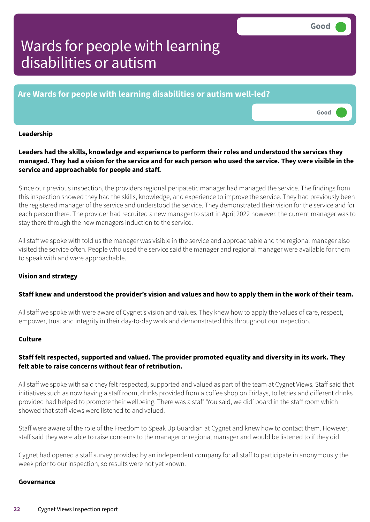**Good –––**

# Wards for people with learning disabilities or autism

**Are Wards for people with learning disabilities or autism well-led?**

#### **Leadership**

**Leaders had the skills, knowledge and experience to perform their roles and understood the services they** managed. They had a vision for the service and for each person who used the service. They were visible in the **service and approachable for people and staff.**

Since our previous inspection, the providers regional peripatetic manager had managed the service. The findings from this inspection showed they had the skills, knowledge, and experience to improve the service. They had previously been the registered manager of the service and understood the service. They demonstrated their vision for the service and for each person there. The provider had recruited a new manager to start in April 2022 however, the current manager was to stay there through the new managers induction to the service.

All staff we spoke with told us the manager was visible in the service and approachable and the regional manager also visited the service often. People who used the service said the manager and regional manager were available for them to speak with and were approachable.

#### **Vision and strategy**

#### Staff knew and understood the provider's vision and values and how to apply them in the work of their team.

All staff we spoke with were aware of Cygnet's vision and values. They knew how to apply the values of care, respect, empower, trust and integrity in their day-to-day work and demonstrated this throughout our inspection.

#### **Culture**

#### **Staff felt respected, supported and valued. The provider promoted equality and diversity in its work. They felt able to raise concerns without fear of retribution.**

All staff we spoke with said they felt respected, supported and valued as part of the team at Cygnet Views. Staff said that initiatives such as now having a staff room, drinks provided from a coffee shop on Fridays, toiletries and different drinks provided had helped to promote their wellbeing. There was a staff 'You said, we did' board in the staff room which showed that staff views were listened to and valued.

Staff were aware of the role of the Freedom to Speak Up Guardian at Cygnet and knew how to contact them. However, staff said they were able to raise concerns to the manager or regional manager and would be listened to if they did.

Cygnet had opened a staff survey provided by an independent company for all staff to participate in anonymously the week prior to our inspection, so results were not yet known.

#### **Governance**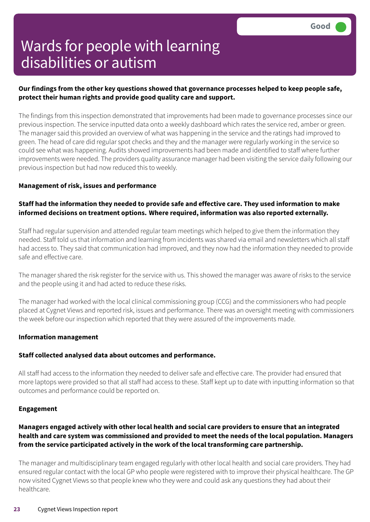#### **Our findings from the other key questions showed that governance processes helped to keep people safe, protect their human rights and provide good quality care and support.**

The findings from this inspection demonstrated that improvements had been made to governance processes since our previous inspection. The service inputted data onto a weekly dashboard which rates the service red, amber or green. The manager said this provided an overview of what was happening in the service and the ratings had improved to green. The head of care did regular spot checks and they and the manager were regularly working in the service so could see what was happening. Audits showed improvements had been made and identified to staff where further improvements were needed. The providers quality assurance manager had been visiting the service daily following our previous inspection but had now reduced this to weekly.

#### **Management of risk, issues and performance**

#### **Staff had the information they needed to provide safe and effective care. They used information to make informed decisions on treatment options. Where required, information was also reported externally.**

Staff had regular supervision and attended regular team meetings which helped to give them the information they needed. Staff told us that information and learning from incidents was shared via email and newsletters which all staff had access to. They said that communication had improved, and they now had the information they needed to provide safe and effective care.

The manager shared the risk register for the service with us. This showed the manager was aware of risks to the service and the people using it and had acted to reduce these risks.

The manager had worked with the local clinical commissioning group (CCG) and the commissioners who had people placed at Cygnet Views and reported risk, issues and performance. There was an oversight meeting with commissioners the week before our inspection which reported that they were assured of the improvements made.

#### **Information management**

#### **Staff collected analysed data about outcomes and performance.**

All staff had access to the information they needed to deliver safe and effective care. The provider had ensured that more laptops were provided so that all staff had access to these. Staff kept up to date with inputting information so that outcomes and performance could be reported on.

#### **Engagement**

#### **Managers engaged actively with other local health and social care providers to ensure that an integrated health and care system was commissioned and provided to meet the needs of the local population. Managers from the service participated actively in the work of the local transforming care partnership.**

The manager and multidisciplinary team engaged regularly with other local health and social care providers. They had ensured regular contact with the local GP who people were registered with to improve their physical healthcare. The GP now visited Cygnet Views so that people knew who they were and could ask any questions they had about their healthcare.